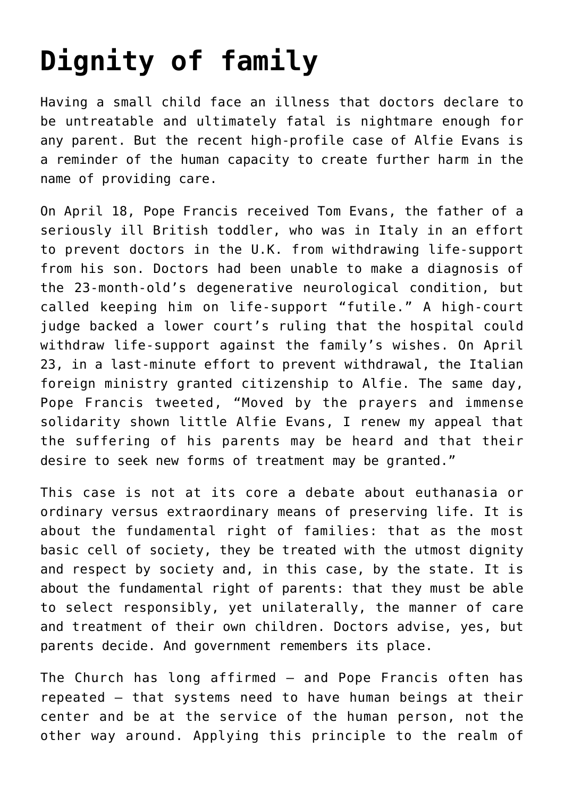## **[Dignity of family](https://www.osvnews.com/2018/05/06/dignity-of-family/)**

Having a small child face an illness that doctors declare to be untreatable and ultimately fatal is nightmare enough for any parent. But the recent high-profile case of Alfie Evans is a reminder of the human capacity to create further harm in the name of providing care.

On April 18, Pope Francis received Tom Evans, the father of a seriously ill British toddler, who was in Italy in an effort to prevent doctors in the U.K. from withdrawing life-support from his son. Doctors had been unable to make a diagnosis of the 23-month-old's degenerative neurological condition, but called keeping him on life-support "futile." A high-court judge backed a lower court's ruling that the hospital could withdraw life-support against the family's wishes. On April 23, in a last-minute effort to prevent withdrawal, the Italian foreign ministry granted citizenship to Alfie. The same day, Pope Francis tweeted, "Moved by the prayers and immense solidarity shown little Alfie Evans, I renew my appeal that the suffering of his parents may be heard and that their desire to seek new forms of treatment may be granted."

This case is not at its core a debate about euthanasia or ordinary versus extraordinary means of preserving life. It is about the fundamental right of families: that as the most basic cell of society, they be treated with the utmost dignity and respect by society and, in this case, by the state. It is about the fundamental right of parents: that they must be able to select responsibly, yet unilaterally, the manner of care and treatment of their own children. Doctors advise, yes, but parents decide. And government remembers its place.

The Church has long affirmed — and Pope Francis often has repeated — that systems need to have human beings at their center and be at the service of the human person, not the other way around. Applying this principle to the realm of